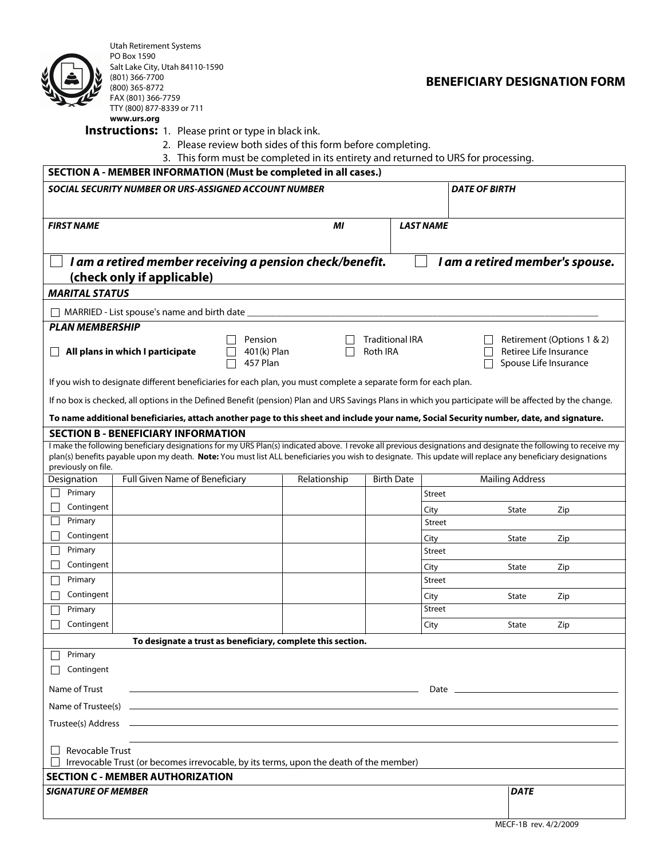

Utah Retirement Systems PO Box 1590 Salt Lake City, Utah 84110-1590 (801) 366-7700 (800) 365-8772 FAX (801) 366-7759 TTY (800) 877-8339 or 711 **www.urs.org**

## **BENEFICIARY DESIGNATION FORM**

**Instructions:** 1. Please print or type in black ink.

- 2. Please review both sides of this form before completing.
- 3. This form must be completed in its entirety and returned to URS for processing.

| s. This ionin must be completed in its chartery and returned to ons for processing<br>SECTION A - MEMBER INFORMATION (Must be completed in all cases.)                                                                                                                                                                                              |                                |                                    |                                    |                   |                      |                        |                                                                               |
|-----------------------------------------------------------------------------------------------------------------------------------------------------------------------------------------------------------------------------------------------------------------------------------------------------------------------------------------------------|--------------------------------|------------------------------------|------------------------------------|-------------------|----------------------|------------------------|-------------------------------------------------------------------------------|
| SOCIAL SECURITY NUMBER OR URS-ASSIGNED ACCOUNT NUMBER                                                                                                                                                                                                                                                                                               |                                |                                    |                                    |                   | <b>DATE OF BIRTH</b> |                        |                                                                               |
|                                                                                                                                                                                                                                                                                                                                                     |                                |                                    |                                    |                   |                      |                        |                                                                               |
| <b>FIRST NAME</b>                                                                                                                                                                                                                                                                                                                                   |                                |                                    | МI                                 | <b>LAST NAME</b>  |                      |                        |                                                                               |
|                                                                                                                                                                                                                                                                                                                                                     |                                |                                    |                                    |                   |                      |                        |                                                                               |
| I am a retired member receiving a pension check/benefit.<br>I am a retired member's spouse.                                                                                                                                                                                                                                                         |                                |                                    |                                    |                   |                      |                        |                                                                               |
| (check only if applicable)                                                                                                                                                                                                                                                                                                                          |                                |                                    |                                    |                   |                      |                        |                                                                               |
| <b>MARITAL STATUS</b>                                                                                                                                                                                                                                                                                                                               |                                |                                    |                                    |                   |                      |                        |                                                                               |
| MARRIED - List spouse's name and birth date                                                                                                                                                                                                                                                                                                         |                                |                                    |                                    |                   |                      |                        |                                                                               |
| <b>PLAN MEMBERSHIP</b>                                                                                                                                                                                                                                                                                                                              |                                |                                    |                                    |                   |                      |                        |                                                                               |
| All plans in which I participate                                                                                                                                                                                                                                                                                                                    |                                | Pension<br>401(k) Plan<br>457 Plan | <b>Traditional IRA</b><br>Roth IRA |                   |                      |                        | Retirement (Options 1 & 2)<br>Retiree Life Insurance<br>Spouse Life Insurance |
| If you wish to designate different beneficiaries for each plan, you must complete a separate form for each plan.                                                                                                                                                                                                                                    |                                |                                    |                                    |                   |                      |                        |                                                                               |
| If no box is checked, all options in the Defined Benefit (pension) Plan and URS Savings Plans in which you participate will be affected by the change.                                                                                                                                                                                              |                                |                                    |                                    |                   |                      |                        |                                                                               |
| To name additional beneficiaries, attach another page to this sheet and include your name, Social Security number, date, and signature.                                                                                                                                                                                                             |                                |                                    |                                    |                   |                      |                        |                                                                               |
| <b>SECTION B - BENEFICIARY INFORMATION</b>                                                                                                                                                                                                                                                                                                          |                                |                                    |                                    |                   |                      |                        |                                                                               |
| I make the following beneficiary designations for my URS Plan(s) indicated above. I revoke all previous designations and designate the following to receive my<br>plan(s) benefits payable upon my death. Note: You must list ALL beneficiaries you wish to designate. This update will replace any beneficiary designations<br>previously on file. |                                |                                    |                                    |                   |                      |                        |                                                                               |
| Designation<br>Primary                                                                                                                                                                                                                                                                                                                              | Full Given Name of Beneficiary |                                    | Relationship                       | <b>Birth Date</b> |                      | <b>Mailing Address</b> |                                                                               |
| Contingent                                                                                                                                                                                                                                                                                                                                          |                                |                                    |                                    |                   | Street               |                        |                                                                               |
| Primary                                                                                                                                                                                                                                                                                                                                             |                                |                                    |                                    |                   | City<br>Street       | State                  | Zip                                                                           |
| Contingent                                                                                                                                                                                                                                                                                                                                          |                                |                                    |                                    |                   | City                 | State                  | Zip                                                                           |
| Primary                                                                                                                                                                                                                                                                                                                                             |                                |                                    |                                    |                   | Street               |                        |                                                                               |
| Contingent                                                                                                                                                                                                                                                                                                                                          |                                |                                    |                                    |                   | City                 | State                  | Zip                                                                           |
| Primary                                                                                                                                                                                                                                                                                                                                             |                                |                                    |                                    |                   | Street               |                        |                                                                               |
| Contingent                                                                                                                                                                                                                                                                                                                                          |                                |                                    |                                    |                   | City                 | State                  | Zip                                                                           |
| Primary                                                                                                                                                                                                                                                                                                                                             |                                |                                    |                                    |                   | Street               |                        |                                                                               |
| Contingent                                                                                                                                                                                                                                                                                                                                          |                                |                                    |                                    |                   | City                 | State                  | Zip                                                                           |
| To designate a trust as beneficiary, complete this section.<br>Primary                                                                                                                                                                                                                                                                              |                                |                                    |                                    |                   |                      |                        |                                                                               |
| Contingent                                                                                                                                                                                                                                                                                                                                          |                                |                                    |                                    |                   |                      |                        |                                                                               |
|                                                                                                                                                                                                                                                                                                                                                     |                                |                                    |                                    |                   |                      |                        |                                                                               |
| Name of Trust<br>the control of the control of the control of the control of the control of the control of the control of the control of the control of the control of the control of the control of the control of the control of the control                                                                                                      |                                |                                    |                                    |                   |                      |                        |                                                                               |
|                                                                                                                                                                                                                                                                                                                                                     |                                |                                    |                                    |                   |                      |                        |                                                                               |
|                                                                                                                                                                                                                                                                                                                                                     |                                |                                    |                                    |                   |                      |                        |                                                                               |
| <b>Revocable Trust</b><br>Irrevocable Trust (or becomes irrevocable, by its terms, upon the death of the member)                                                                                                                                                                                                                                    |                                |                                    |                                    |                   |                      |                        |                                                                               |
| <b>SECTION C - MEMBER AUTHORIZATION</b>                                                                                                                                                                                                                                                                                                             |                                |                                    |                                    |                   |                      |                        |                                                                               |
| <b>SIGNATURE OF MEMBER</b>                                                                                                                                                                                                                                                                                                                          |                                |                                    |                                    |                   |                      | <b>DATE</b>            |                                                                               |
|                                                                                                                                                                                                                                                                                                                                                     |                                |                                    |                                    |                   |                      |                        |                                                                               |